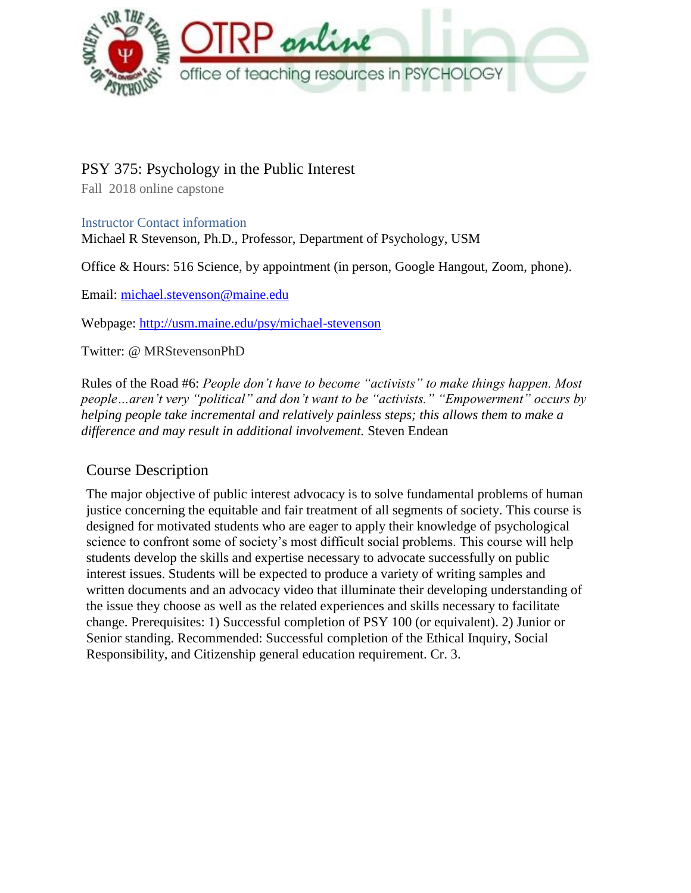

# PSY 375: Psychology in the Public Interest

Fall 2018 online capstone

Instructor Contact information

Michael R Stevenson, Ph.D., Professor, Department of Psychology, USM

Office & Hours: 516 Science, by appointment (in person, Google Hangout, Zoom, phone).

Email: [michael.stevenson@maine.edu](mailto:michael.stevenson@maine.edu)

Webpage:<http://usm.maine.edu/psy/michael-stevenson>

Twitter: @ MRStevensonPhD

Rules of the Road #6: *People don't have to become "activists" to make things happen. Most people…aren't very "political" and don't want to be "activists." "Empowerment" occurs by helping people take incremental and relatively painless steps; this allows them to make a difference and may result in additional involvement.* Steven Endean

# Course Description

The major objective of public interest advocacy is to solve fundamental problems of human justice concerning the equitable and fair treatment of all segments of society. This course is designed for motivated students who are eager to apply their knowledge of psychological science to confront some of society's most difficult social problems. This course will help students develop the skills and expertise necessary to advocate successfully on public interest issues. Students will be expected to produce a variety of writing samples and written documents and an advocacy video that illuminate their developing understanding of the issue they choose as well as the related experiences and skills necessary to facilitate change. Prerequisites: 1) Successful completion of PSY 100 (or equivalent). 2) Junior or Senior standing. Recommended: Successful completion of the Ethical Inquiry, Social Responsibility, and Citizenship general education requirement. Cr. 3.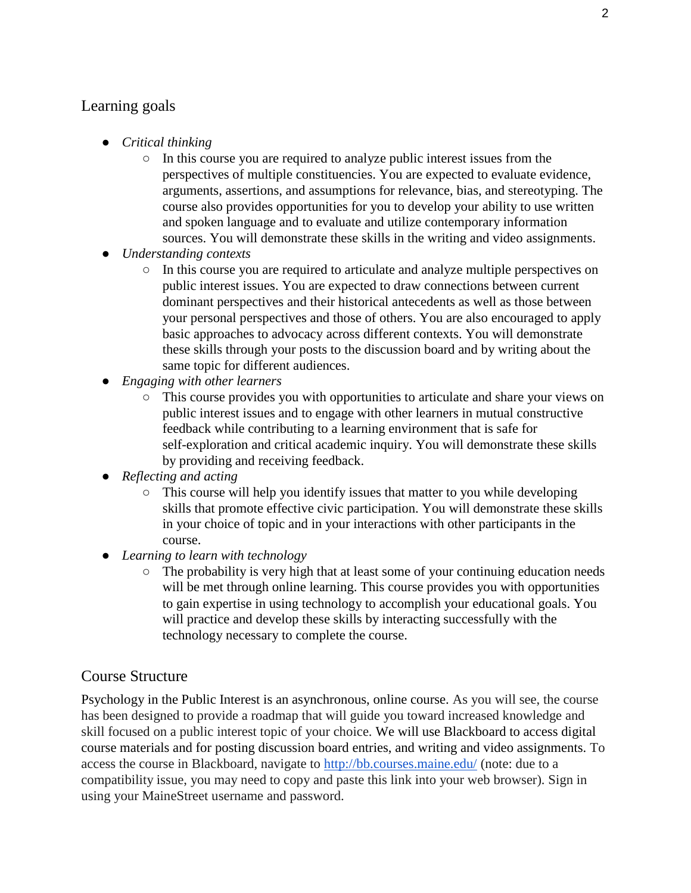## Learning goals

- *Critical thinking*
	- In this course you are required to analyze public interest issues from the perspectives of multiple constituencies. You are expected to evaluate evidence, arguments, assertions, and assumptions for relevance, bias, and stereotyping. The course also provides opportunities for you to develop your ability to use written and spoken language and to evaluate and utilize contemporary information sources. You will demonstrate these skills in the writing and video assignments.
- *Understanding contexts*
	- In this course you are required to articulate and analyze multiple perspectives on public interest issues. You are expected to draw connections between current dominant perspectives and their historical antecedents as well as those between your personal perspectives and those of others. You are also encouraged to apply basic approaches to advocacy across different contexts. You will demonstrate these skills through your posts to the discussion board and by writing about the same topic for different audiences.
- *Engaging with other learners*
	- This course provides you with opportunities to articulate and share your views on public interest issues and to engage with other learners in mutual constructive feedback while contributing to a learning environment that is safe for self-exploration and critical academic inquiry. You will demonstrate these skills by providing and receiving feedback.
- *Reflecting and acting*
	- $\circ$  This course will help you identify issues that matter to you while developing skills that promote effective civic participation. You will demonstrate these skills in your choice of topic and in your interactions with other participants in the course.
- *Learning to learn with technology*
	- The probability is very high that at least some of your continuing education needs will be met through online learning. This course provides you with opportunities to gain expertise in using technology to accomplish your educational goals. You will practice and develop these skills by interacting successfully with the technology necessary to complete the course.

## Course Structure

Psychology in the Public Interest is an asynchronous, online course. As you will see, the course has been designed to provide a roadmap that will guide you toward increased knowledge and skill focused on a public interest topic of your choice. We will use Blackboard to access digital course materials and for posting discussion board entries, and writing and video assignments. To access the course in Blackboard, navigate to<http://bb.courses.maine.edu/> (note: due to a compatibility issue, you may need to copy and paste this link into your web browser). Sign in using your MaineStreet username and password.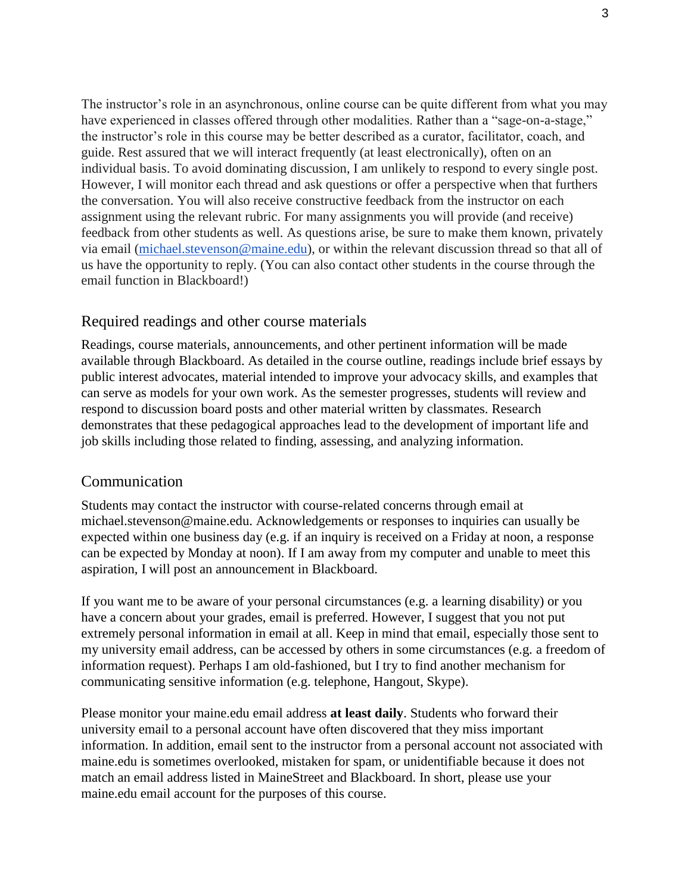The instructor's role in an asynchronous, online course can be quite different from what you may have experienced in classes offered through other modalities. Rather than a "sage-on-a-stage," the instructor's role in this course may be better described as a curator, facilitator, coach, and guide. Rest assured that we will interact frequently (at least electronically), often on an individual basis. To avoid dominating discussion, I am unlikely to respond to every single post. However, I will monitor each thread and ask questions or offer a perspective when that furthers the conversation. You will also receive constructive feedback from the instructor on each assignment using the relevant rubric. For many assignments you will provide (and receive) feedback from other students as well. As questions arise, be sure to make them known, privately via email [\(michael.stevenson@maine.edu\),](mailto:michael.stevenson@maine.edu) or within the relevant discussion thread so that all of us have the opportunity to reply. (You can also contact other students in the course through the email function in Blackboard!)

### Required readings and other course materials

Readings, course materials, announcements, and other pertinent information will be made available through Blackboard. As detailed in the course outline, readings include brief essays by public interest advocates, material intended to improve your advocacy skills, and examples that can serve as models for your own work. As the semester progresses, students will review and respond to discussion board posts and other material written by classmates. Research demonstrates that these pedagogical approaches lead to the development of important life and job skills including those related to finding, assessing, and analyzing information.

#### Communication

Students may contact the instructor with course-related concerns through email a[t](mailto:stevenson@maine.edu) [michael.stevenson@maine.edu. Acknowledgements or responses to inquiries can usually be](mailto:stevenson@maine.edu)  [expected within one business day \(e.g. if an inquiry is received on a Friday at noon, a response](mailto:stevenson@maine.edu)  [can be expected by Monday at noon\). If I am away from my computer and unable to meet this](mailto:stevenson@maine.edu)  [aspiration, I will post an announcement in Blackboard.](mailto:stevenson@maine.edu)

If you want me to be aware of your personal circumstances (e.g. a learning disability) or you have a concern about your grades, email is preferred. However, I suggest that you not put extremely personal information in email at all. Keep in mind that email, especially those sent to my university email address, can be accessed by others in some circumstances (e.g. a freedom of information request). Perhaps I am old-fashioned, but I try to find another mechanism for communicating sensitive information (e.g. telephone, Hangout, Skype).

Please monitor your maine.edu email address **at least daily**. Students who forward their university email to a personal account have often discovered that they miss important information. In addition, email sent to the instructor from a personal account not associated with maine.edu is sometimes overlooked, mistaken for spam, or unidentifiable because it does not match an email address listed in MaineStreet and Blackboard. In short, please use your maine.edu email account for the purposes of this course.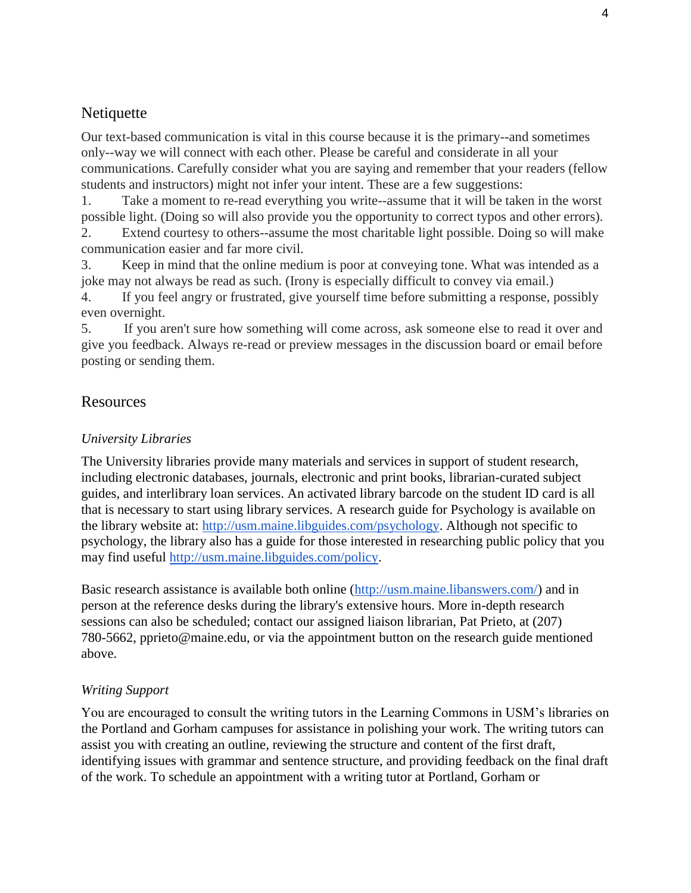## Netiquette

Our text-based communication is vital in this course because it is the primary--and sometimes only--way we will connect with each other. Please be careful and considerate in all your communications. Carefully consider what you are saying and remember that your readers (fellow students and instructors) might not infer your intent. These are a few suggestions:

1. Take a moment to re-read everything you write--assume that it will be taken in the worst possible light. (Doing so will also provide you the opportunity to correct typos and other errors).

2. Extend courtesy to others--assume the most charitable light possible. Doing so will make communication easier and far more civil.

3. Keep in mind that the online medium is poor at conveying tone. What was intended as a joke may not always be read as such. (Irony is especially difficult to convey via email.)

4. If you feel angry or frustrated, give yourself time before submitting a response, possibly even overnight.

5. If you aren't sure how something will come across, ask someone else to read it over and give you feedback. Always re-read or preview messages in the discussion board or email before posting or sending them.

## Resources

## *University Libraries*

The University libraries provide many materials and services in support of student research, including electronic databases, journals, electronic and print books, librarian-curated subject guides, and interlibrary loan services. An activated library barcode on the student ID card is all that is necessary to start using library services. A research guide for Psychology is available on the library website at: [http://usm.maine.libguides.com/psychology.](http://usm.maine.libguides.com/psychology) Although not specific to psychology, the library also has a guide for those interested in researching public policy that you may find useful [http://usm.maine.libguides.com/policy.](http://usm.maine.libguides.com/policy)

Basic research assistance is available both online [\(http://usm.maine.libanswers.com/\)](http://usm.maine.libanswers.com/) and in person at the reference desks during the library's extensive hours. More in-depth research sessions can also be scheduled; contact our assigned liaison librarian, Pat Prieto, at (207) [780-5662, pprieto@maine.edu, or via the appointment button on the research guide mentioned](mailto:pprieto@maine.edu)  [above.](mailto:pprieto@maine.edu)

## *Writing Support*

You are encouraged to consult the writing tutors in the Learning Commons in USM's libraries on the Portland and Gorham campuses for assistance in polishing your work. The writing tutors can assist you with creating an outline, reviewing the structure and content of the first draft, identifying issues with grammar and sentence structure, and providing feedback on the final draft of the work. To schedule an appointment with a writing tutor at Portland, Gorham or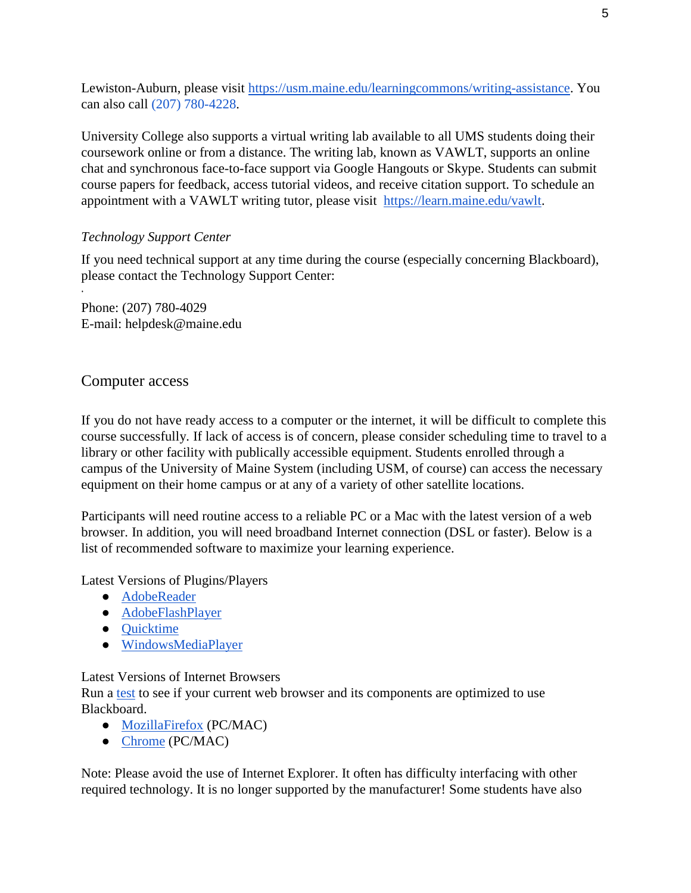Lewiston-Auburn, please visit [https://usm.maine.edu/learningcommons/writing-assistance.](https://usm.maine.edu/learningcommons/writing-assistance) You can also call (207) 780-4228.

University College also supports a virtual writing lab available to all UMS students doing their coursework online or from a distance. The writing lab, known as VAWLT, supports an online chat and synchronous face-to-face support via Google Hangouts or Skype. Students can submit course papers for feedback, access tutorial videos, and receive citation support. To schedule an appointment with a VAWLT writing tutor, please visit [https://learn.maine.edu/vawlt.](https://learn.maine.edu/vawlt)

## *Technology Support Center*

If you need technical support at any time during the course (especially concerning Blackboard), please contact the Technology Support Center:

Phone: (207) 780-4029 [E-mail: helpdesk@maine.edu](mailto:helpdesk@maine.edu)

## Computer access

·

If you do not have ready access to a computer or the internet, it will be difficult to complete this course successfully. If lack of access is of concern, please consider scheduling time to travel to a library or other facility with publically accessible equipment. Students enrolled through a campus of the University of Maine System (including USM, of course) can access the necessary equipment on their home campus or at any of a variety of other satellite locations.

Participants will need routine access to a reliable PC or a Mac with the latest version of a web browser. In addition, you will need broadband Internet connection (DSL or faster). Below is a list of recommended software to maximize your learning experience.

Latest Versions of Plugins/Players

- [AdobeReader](http://get.adobe.com/reader/)
- [AdobeFlashPlayer](http://helpx.adobe.com/flash-player.html)
- [Quicktime](http://www.apple.com/quicktime/)
- [WindowsMediaPlayer](http://www.microsoft.com/windowsmedia)

## Latest Versions of Internet Browsers

Run a [test](https://www.courses.maine.edu/webapps/portal/frameset.jsp?tab_tab_group_id=_18_1) to see if your current web browser and its components are optimized to use Blackboard.

- [MozillaFirefox](http://mozilla.com/firefox) (PC/MAC)
- Chrome [\(PC/MAC\)](http://www.google.com/chrome/)

Note: Please avoid the use of Internet Explorer. It often has difficulty interfacing with other required technology. It is no longer supported by the manufacturer! Some students have also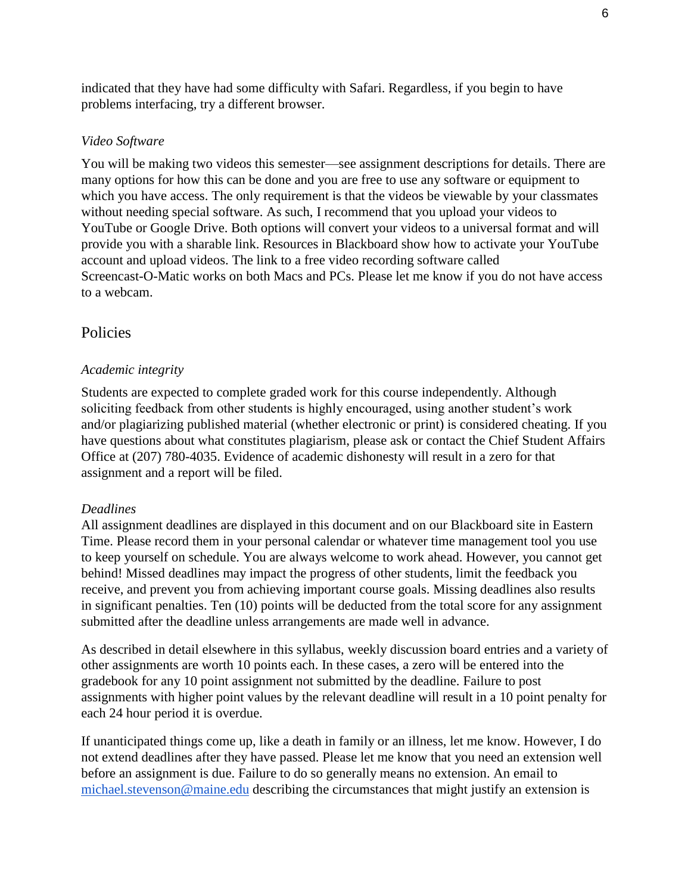indicated that they have had some difficulty with Safari. Regardless, if you begin to have problems interfacing, try a different browser.

### *Video Software*

You will be making two videos this semester—see assignment descriptions for details. There are many options for how this can be done and you are free to use any software or equipment to which you have access. The only requirement is that the videos be viewable by your classmates without needing special software. As such, I recommend that you upload your videos to YouTube or Google Drive. Both options will convert your videos to a universal format and will provide you with a sharable link. Resources in Blackboard show how to activate your YouTube account and upload videos. The link to a free video recording software called Screencast-O-Matic works on both Macs and PCs. Please let me know if you do not have access to a webcam.

### Policies

#### *Academic integrity*

Students are expected to complete graded work for this course independently. Although soliciting feedback from other students is highly encouraged, using another student's work and/or plagiarizing published material (whether electronic or print) is considered cheating. If you have questions about what constitutes plagiarism, please ask or contact the Chief Student Affairs Office at (207) 780-4035. Evidence of academic dishonesty will result in a zero for that assignment and a report will be filed.

#### *Deadlines*

All assignment deadlines are displayed in this document and on our Blackboard site in Eastern Time. Please record them in your personal calendar or whatever time management tool you use to keep yourself on schedule. You are always welcome to work ahead. However, you cannot get behind! Missed deadlines may impact the progress of other students, limit the feedback you receive, and prevent you from achieving important course goals. Missing deadlines also results in significant penalties. Ten (10) points will be deducted from the total score for any assignment submitted after the deadline unless arrangements are made well in advance.

As described in detail elsewhere in this syllabus, weekly discussion board entries and a variety of other assignments are worth 10 points each. In these cases, a zero will be entered into the gradebook for any 10 point assignment not submitted by the deadline. Failure to post assignments with higher point values by the relevant deadline will result in a 10 point penalty for each 24 hour period it is overdue.

If unanticipated things come up, like a death in family or an illness, let me know. However, I do not extend deadlines after they have passed. Please let me know that you need an extension well before an assignment is due. Failure to do so generally means no extension. An email to [michael.stevenson@maine.edu](mailto:michael.stevenson@maine.edu) describing the circumstances that might justify an extension is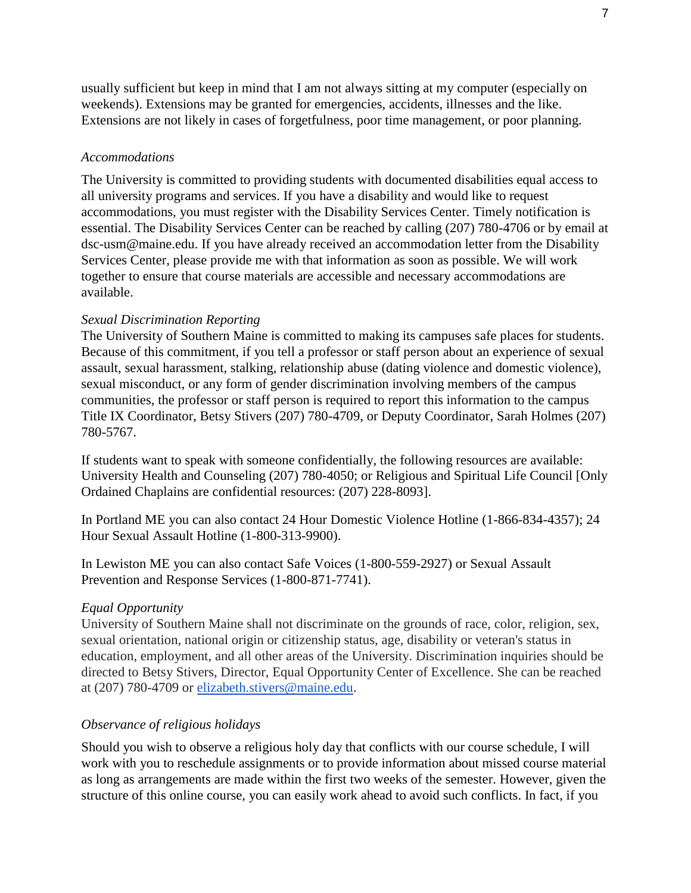usually sufficient but keep in mind that I am not always sitting at my computer (especially on weekends). Extensions may be granted for emergencies, accidents, illnesses and the like. Extensions are not likely in cases of forgetfulness, poor time management, or poor planning.

### *Accommodations*

The University is committed to providing students with documented disabilities equal access to all university programs and services. If you have a disability and would like to request accommodations, you must register with the Disability Services Center. Timely notification is essential. The Disability Services Center can be reached by calling (207) 780-4706 or by email a[t](mailto:dsc-usm@maine.edu) [dsc-usm@maine.edu. If you have already received an accommodation letter from the Disability](mailto:dsc-usm@maine.edu)  [Services Center, please provide me with that information](mailto:dsc-usm@maine.edu) as soon as possible. We will work [together to ensure that course materials are accessible and necessary accommodations are](mailto:dsc-usm@maine.edu)  [available.](mailto:dsc-usm@maine.edu)

### *Sexual Discrimination Reporting*

The University of Southern Maine is committed to making its campuses safe places for students. Because of this commitment, if you tell a professor or staff person about an experience of sexual assault, sexual harassment, stalking, relationship abuse (dating violence and domestic violence), sexual misconduct, or any form of gender discrimination involving members of the campus communities, the professor or staff person is required to report this information to the campus Title IX Coordinator, Betsy Stivers (207) 780-4709, or Deputy Coordinator, Sarah Holmes (207) 780-5767.

If students want to speak with someone confidentially, the following resources are available: University Health and Counseling (207) 780-4050; or Religious and Spiritual Life Council [Only Ordained Chaplains are confidential resources: (207) 228-8093].

In Portland ME you can also contact 24 Hour Domestic Violence Hotline (1-866-834-4357); 24 Hour Sexual Assault Hotline (1-800-313-9900).

In Lewiston ME you can also contact Safe Voices (1-800-559-2927) or Sexual Assault Prevention and Response Services (1-800-871-7741).

### *Equal Opportunity*

University of Southern Maine shall not discriminate on the grounds of race, color, religion, sex, sexual orientation, national origin or citizenship status, age, disability or veteran's status in education, employment, and all other areas of the University. Discrimination inquiries should be directed to Betsy Stivers, Director, Equal Opportunity Center of Excellence. She can be reached at (207) 780-4709 or [elizabeth.stivers@maine.edu.](mailto:elizabeth.stivers@maine.edu)

### *Observance of religious holidays*

Should you wish to observe a religious holy day that conflicts with our course schedule, I will work with you to reschedule assignments or to provide information about missed course material as long as arrangements are made within the first two weeks of the semester. However, given the structure of this online course, you can easily work ahead to avoid such conflicts. In fact, if you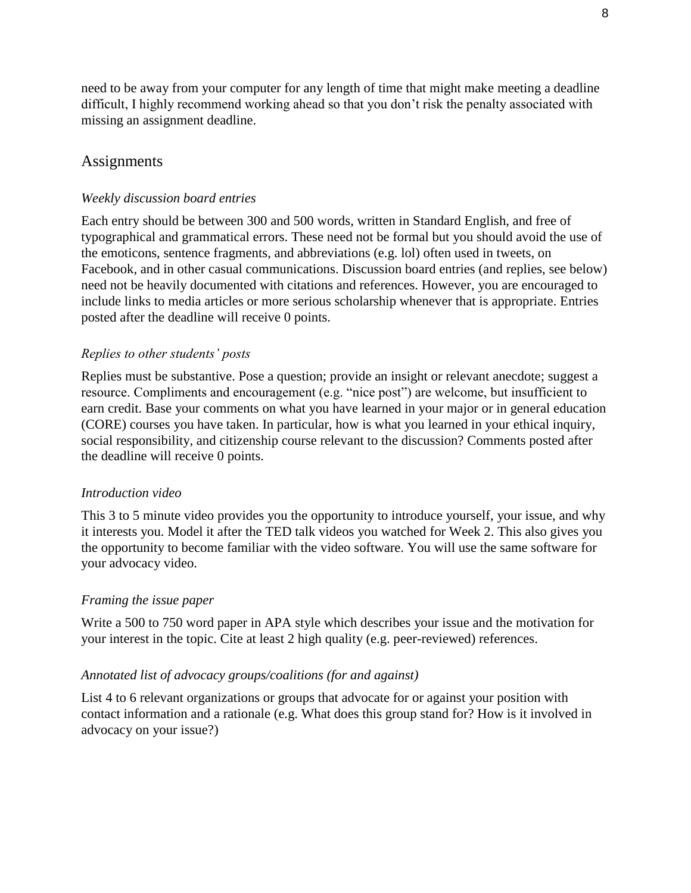need to be away from your computer for any length of time that might make meeting a deadline difficult, I highly recommend working ahead so that you don't risk the penalty associated with missing an assignment deadline.

### **Assignments**

#### *Weekly discussion board entries*

Each entry should be between 300 and 500 words, written in Standard English, and free of typographical and grammatical errors. These need not be formal but you should avoid the use of the emoticons, sentence fragments, and abbreviations (e.g. lol) often used in tweets, on Facebook, and in other casual communications. Discussion board entries (and replies, see below) need not be heavily documented with citations and references. However, you are encouraged to include links to media articles or more serious scholarship whenever that is appropriate. Entries posted after the deadline will receive 0 points.

#### *Replies to other students' posts*

Replies must be substantive. Pose a question; provide an insight or relevant anecdote; suggest a resource. Compliments and encouragement (e.g. "nice post") are welcome, but insufficient to earn credit. Base your comments on what you have learned in your major or in general education (CORE) courses you have taken. In particular, how is what you learned in your ethical inquiry, social responsibility, and citizenship course relevant to the discussion? Comments posted after the deadline will receive 0 points.

#### *Introduction video*

This 3 to 5 minute video provides you the opportunity to introduce yourself, your issue, and why it interests you. Model it after the TED talk videos you watched for Week 2. This also gives you the opportunity to become familiar with the video software. You will use the same software for your advocacy video.

#### *Framing the issue paper*

Write a 500 to 750 word paper in APA style which describes your issue and the motivation for your interest in the topic. Cite at least 2 high quality (e.g. peer-reviewed) references.

#### *Annotated list of advocacy groups/coalitions (for and against)*

List 4 to 6 relevant organizations or groups that advocate for or against your position with contact information and a rationale (e.g. What does this group stand for? How is it involved in advocacy on your issue?)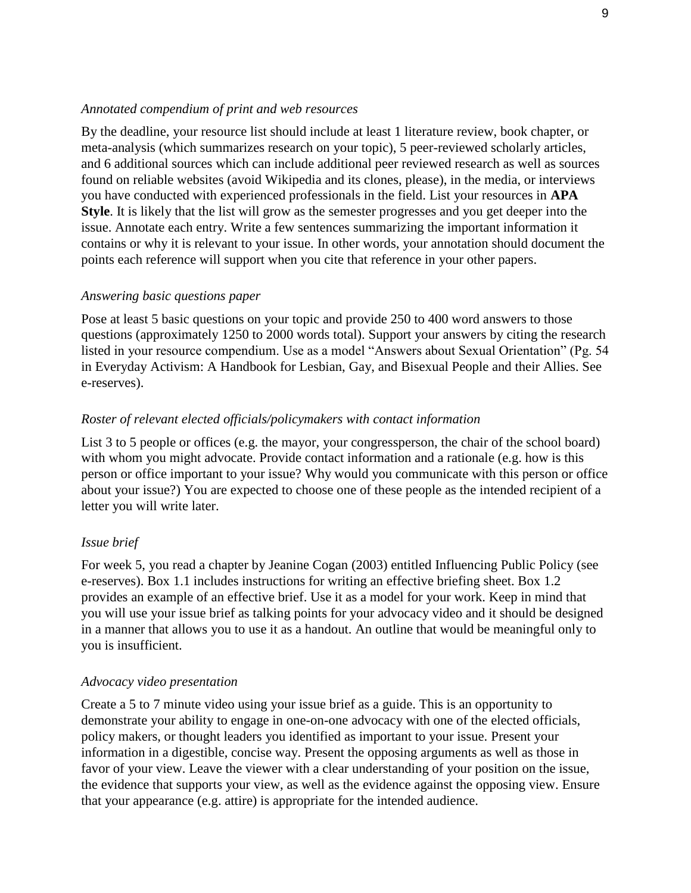#### *Annotated compendium of print and web resources*

By the deadline, your resource list should include at least 1 literature review, book chapter, or meta-analysis (which summarizes research on your topic), 5 peer-reviewed scholarly articles, and 6 additional sources which can include additional peer reviewed research as well as sources found on reliable websites (avoid Wikipedia and its clones, please), in the media, or interviews you have conducted with experienced professionals in the field. List your resources in **APA Style**. It is likely that the list will grow as the semester progresses and you get deeper into the issue. Annotate each entry. Write a few sentences summarizing the important information it contains or why it is relevant to your issue. In other words, your annotation should document the points each reference will support when you cite that reference in your other papers.

#### *Answering basic questions paper*

Pose at least 5 basic questions on your topic and provide 250 to 400 word answers to those questions (approximately 1250 to 2000 words total). Support your answers by citing the research listed in your resource compendium. Use as a model "Answers about Sexual Orientation" (Pg. 54 in Everyday Activism: A Handbook for Lesbian, Gay, and Bisexual People and their Allies. See e-reserves).

#### *Roster of relevant elected officials/policymakers with contact information*

List 3 to 5 people or offices (e.g. the mayor, your congressperson, the chair of the school board) with whom you might advocate. Provide contact information and a rationale (e.g. how is this person or office important to your issue? Why would you communicate with this person or office about your issue?) You are expected to choose one of these people as the intended recipient of a letter you will write later.

#### *Issue brief*

For week 5, you read a chapter by Jeanine Cogan (2003) entitled Influencing Public Policy (see e-reserves). Box 1.1 includes instructions for writing an effective briefing sheet. Box 1.2 provides an example of an effective brief. Use it as a model for your work. Keep in mind that you will use your issue brief as talking points for your advocacy video and it should be designed in a manner that allows you to use it as a handout. An outline that would be meaningful only to you is insufficient.

#### *Advocacy video presentation*

Create a 5 to 7 minute video using your issue brief as a guide. This is an opportunity to demonstrate your ability to engage in one-on-one advocacy with one of the elected officials, policy makers, or thought leaders you identified as important to your issue. Present your information in a digestible, concise way. Present the opposing arguments as well as those in favor of your view. Leave the viewer with a clear understanding of your position on the issue, the evidence that supports your view, as well as the evidence against the opposing view. Ensure that your appearance (e.g. attire) is appropriate for the intended audience.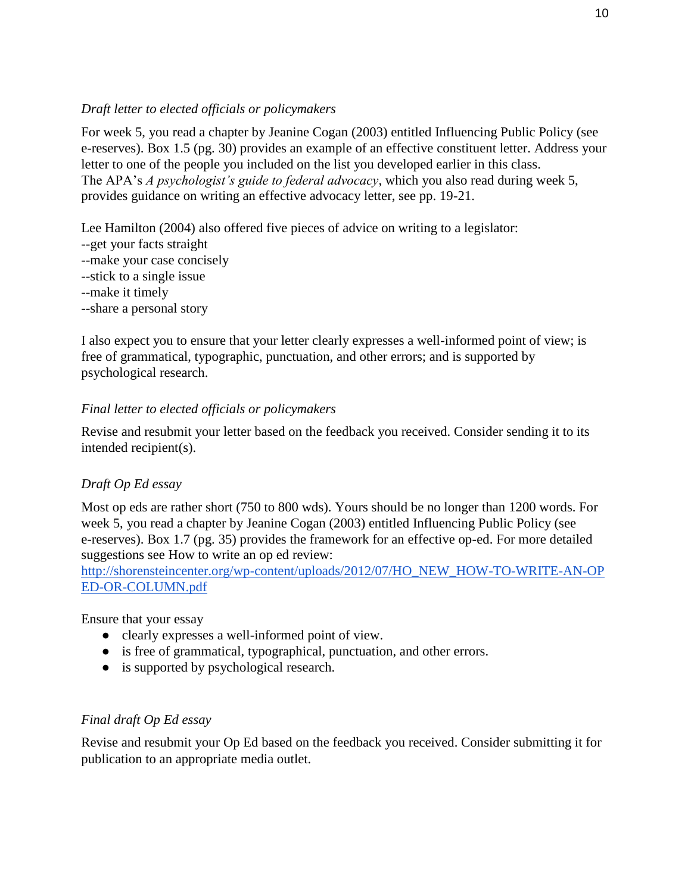## *Draft letter to elected officials or policymakers*

For week 5, you read a chapter by Jeanine Cogan (2003) entitled Influencing Public Policy (see e-reserves). Box 1.5 (pg. 30) provides an example of an effective constituent letter. Address your letter to one of the people you included on the list you developed earlier in this class. The APA's *A psychologist's guide to federal advocacy*, which you also read during week 5, provides guidance on writing an effective advocacy letter, see pp. 19-21.

Lee Hamilton (2004) also offered five pieces of advice on writing to a legislator:

- --get your facts straight
- --make your case concisely
- --stick to a single issue
- --make it timely
- --share a personal story

I also expect you to ensure that your letter clearly expresses a well-informed point of view; is free of grammatical, typographic, punctuation, and other errors; and is supported by psychological research.

## *Final letter to elected officials or policymakers*

Revise and resubmit your letter based on the feedback you received. Consider sending it to its intended recipient(s).

## *Draft Op Ed essay*

Most op eds are rather short (750 to 800 wds). Yours should be no longer than 1200 words. For week 5, you read a chapter by Jeanine Cogan (2003) entitled Influencing Public Policy (see e-reserves). Box 1.7 (pg. 35) provides the framework for an effective op-ed. For more detailed suggestions see How to write an op ed review:

[http://shorensteincenter.org/wp-content/uploads/2012/07/HO\\_NEW\\_HOW-TO-WRITE-AN-OP](http://shorensteincenter.org/wp-content/uploads/2012/07/HO_NEW_HOW-TO-WRITE-AN-OPED-OR-COLUMN.pdf) [ED-OR-COLUMN.pdf](http://shorensteincenter.org/wp-content/uploads/2012/07/HO_NEW_HOW-TO-WRITE-AN-OPED-OR-COLUMN.pdf)

Ensure that your essay

- clearly expresses a well-informed point of view.
- is free of grammatical, typographical, punctuation, and other errors.
- is supported by psychological research.

## *Final draft Op Ed essay*

Revise and resubmit your Op Ed based on the feedback you received. Consider submitting it for publication to an appropriate media outlet.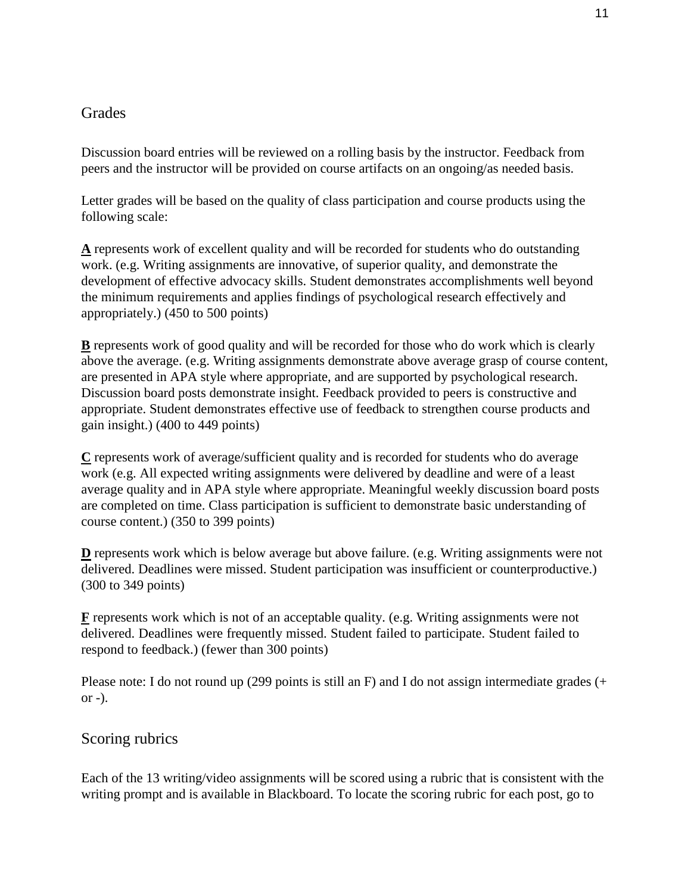## **Grades**

Discussion board entries will be reviewed on a rolling basis by the instructor. Feedback from peers and the instructor will be provided on course artifacts on an ongoing/as needed basis.

Letter grades will be based on the quality of class participation and course products using the following scale:

**A** represents work of excellent quality and will be recorded for students who do outstanding work. (e.g. Writing assignments are innovative, of superior quality, and demonstrate the development of effective advocacy skills. Student demonstrates accomplishments well beyond the minimum requirements and applies findings of psychological research effectively and appropriately.) (450 to 500 points)

**B** represents work of good quality and will be recorded for those who do work which is clearly above the average. (e.g. Writing assignments demonstrate above average grasp of course content, are presented in APA style where appropriate, and are supported by psychological research. Discussion board posts demonstrate insight. Feedback provided to peers is constructive and appropriate. Student demonstrates effective use of feedback to strengthen course products and gain insight.) (400 to 449 points)

**C** represents work of average/sufficient quality and is recorded for students who do average work (e.g. All expected writing assignments were delivered by deadline and were of a least average quality and in APA style where appropriate. Meaningful weekly discussion board posts are completed on time. Class participation is sufficient to demonstrate basic understanding of course content.) (350 to 399 points)

**D** represents work which is below average but above failure. (e.g. Writing assignments were not delivered. Deadlines were missed. Student participation was insufficient or counterproductive.) (300 to 349 points)

**F** represents work which is not of an acceptable quality. (e.g. Writing assignments were not delivered. Deadlines were frequently missed. Student failed to participate. Student failed to respond to feedback.) (fewer than 300 points)

Please note: I do not round up (299 points is still an F) and I do not assign intermediate grades (+  $or -$ ).

## Scoring rubrics

Each of the 13 writing/video assignments will be scored using a rubric that is consistent with the writing prompt and is available in Blackboard. To locate the scoring rubric for each post, go to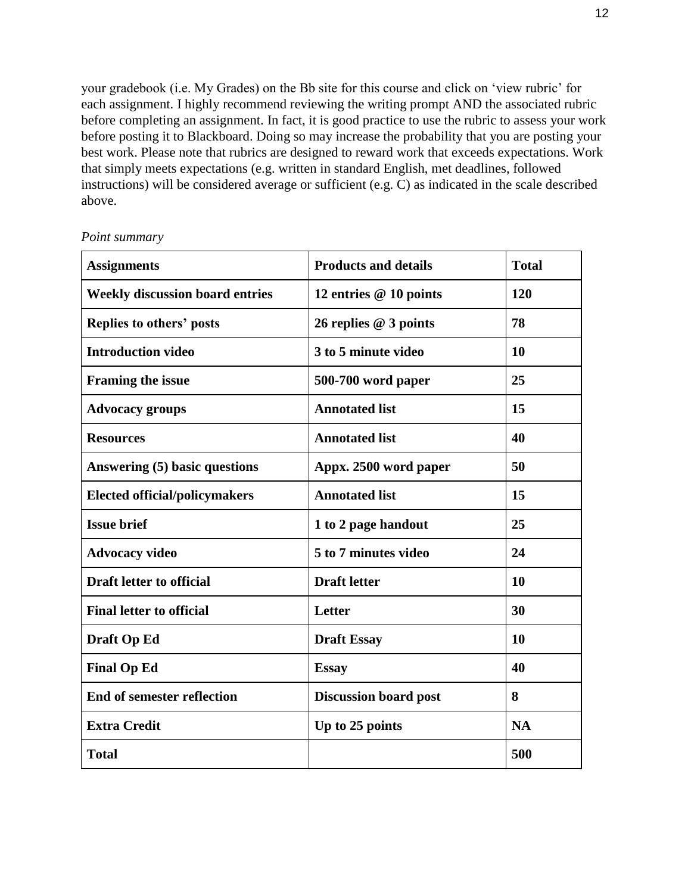your gradebook (i.e. My Grades) on the Bb site for this course and click on 'view rubric' for each assignment. I highly recommend reviewing the writing prompt AND the associated rubric before completing an assignment. In fact, it is good practice to use the rubric to assess your work before posting it to Blackboard. Doing so may increase the probability that you are posting your best work. Please note that rubrics are designed to reward work that exceeds expectations. Work that simply meets expectations (e.g. written in standard English, met deadlines, followed instructions) will be considered average or sufficient (e.g. C) as indicated in the scale described above.

| <b>Assignments</b>                     | <b>Products and details</b>  | <b>Total</b> |
|----------------------------------------|------------------------------|--------------|
| <b>Weekly discussion board entries</b> | 12 entries @ 10 points       | 120          |
| Replies to others' posts               | 26 replies @ 3 points        | 78           |
| <b>Introduction video</b>              | 3 to 5 minute video          | 10           |
| <b>Framing the issue</b>               | 500-700 word paper           | 25           |
| <b>Advocacy groups</b>                 | <b>Annotated list</b>        | 15           |
| <b>Resources</b>                       | <b>Annotated list</b>        | 40           |
| Answering (5) basic questions          | Appx. 2500 word paper        | 50           |
| <b>Elected official/policymakers</b>   | <b>Annotated list</b>        | 15           |
| <b>Issue brief</b>                     | 1 to 2 page handout          | 25           |
| <b>Advocacy video</b>                  | 5 to 7 minutes video         | 24           |
| <b>Draft letter to official</b>        | <b>Draft letter</b>          | 10           |
| <b>Final letter to official</b>        | Letter                       | 30           |
| <b>Draft Op Ed</b>                     | <b>Draft Essay</b>           | 10           |
| <b>Final Op Ed</b>                     | <b>Essay</b>                 | 40           |
| <b>End of semester reflection</b>      | <b>Discussion board post</b> | 8            |
| <b>Extra Credit</b>                    | Up to 25 points              | <b>NA</b>    |
| <b>Total</b>                           |                              | 500          |

*Point summary*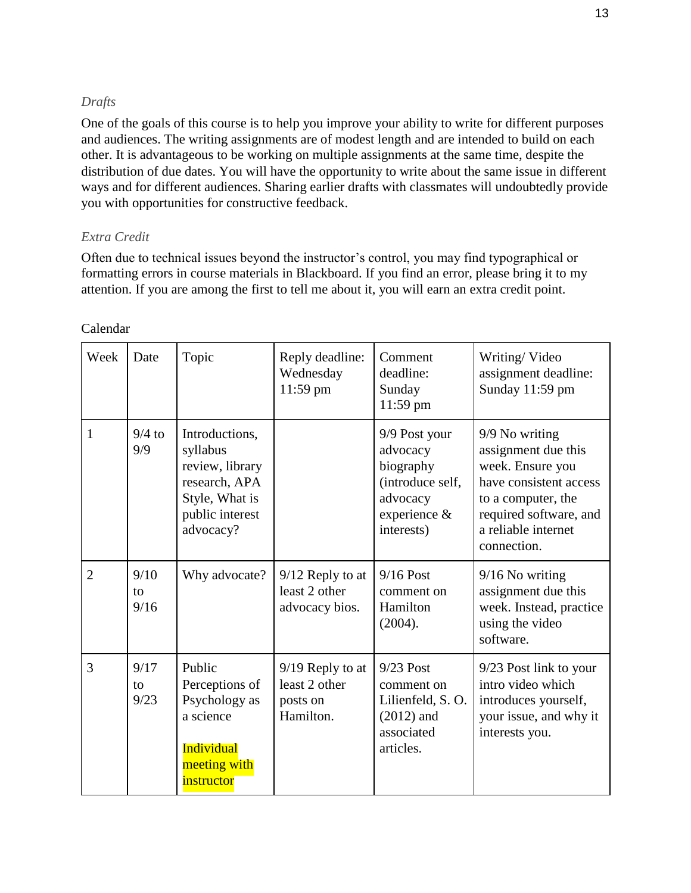### *Drafts*

One of the goals of this course is to help you improve your ability to write for different purposes and audiences. The writing assignments are of modest length and are intended to build on each other. It is advantageous to be working on multiple assignments at the same time, despite the distribution of due dates. You will have the opportunity to write about the same issue in different ways and for different audiences. Sharing earlier drafts with classmates will undoubtedly provide you with opportunities for constructive feedback.

### *Extra Credit*

Often due to technical issues beyond the instructor's control, you may find typographical or formatting errors in course materials in Blackboard. If you find an error, please bring it to my attention. If you are among the first to tell me about it, you will earn an extra credit point.

| Week           | Date               | Topic                                                                                                            | Reply deadline:<br>Wednesday<br>11:59 pm                     | Comment<br>deadline:<br>Sunday<br>11:59 pm                                                           | Writing/Video<br>assignment deadline:<br>Sunday 11:59 pm                                                                                                                  |
|----------------|--------------------|------------------------------------------------------------------------------------------------------------------|--------------------------------------------------------------|------------------------------------------------------------------------------------------------------|---------------------------------------------------------------------------------------------------------------------------------------------------------------------------|
| 1              | $9/4$ to<br>9/9    | Introductions,<br>syllabus<br>review, library<br>research, APA<br>Style, What is<br>public interest<br>advocacy? |                                                              | 9/9 Post your<br>advocacy<br>biography<br>(introduce self,<br>advocacy<br>experience &<br>interests) | 9/9 No writing<br>assignment due this<br>week. Ensure you<br>have consistent access<br>to a computer, the<br>required software, and<br>a reliable internet<br>connection. |
| $\overline{2}$ | 9/10<br>to<br>9/16 | Why advocate?                                                                                                    | $9/12$ Reply to at<br>least 2 other<br>advocacy bios.        | $9/16$ Post<br>comment on<br>Hamilton<br>(2004).                                                     | $9/16$ No writing<br>assignment due this<br>week. Instead, practice<br>using the video<br>software.                                                                       |
| 3              | 9/17<br>to<br>9/23 | Public<br>Perceptions of<br>Psychology as<br>a science<br><b>Individual</b><br>meeting with<br>instructor        | $9/19$ Reply to at<br>least 2 other<br>posts on<br>Hamilton. | $9/23$ Post<br>comment on<br>Lilienfeld, S.O.<br>$(2012)$ and<br>associated<br>articles.             | 9/23 Post link to your<br>intro video which<br>introduces yourself,<br>your issue, and why it<br>interests you.                                                           |

### Calendar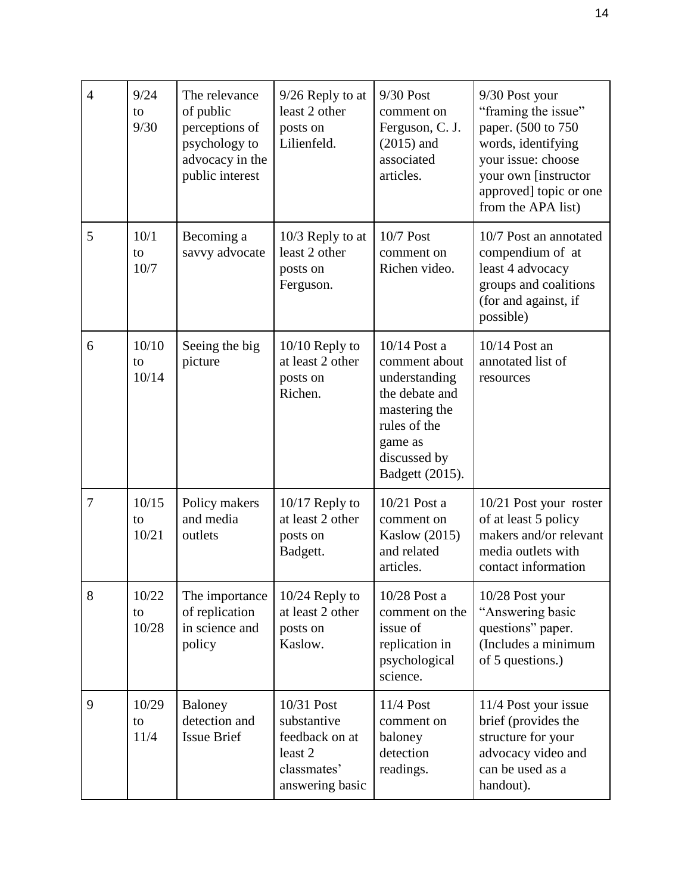| $\overline{4}$ | 9/24<br>to<br>9/30   | The relevance<br>of public<br>perceptions of<br>psychology to<br>advocacy in the<br>public interest | 9/26 Reply to at<br>least 2 other<br>posts on<br>Lilienfeld.                             | $9/30$ Post<br>comment on<br>Ferguson, C. J.<br>$(2015)$ and<br>associated<br>articles.                                                           | 9/30 Post your<br>"framing the issue"<br>paper. (500 to 750<br>words, identifying<br>your issue: choose<br>your own [instructor<br>approved] topic or one<br>from the APA list) |
|----------------|----------------------|-----------------------------------------------------------------------------------------------------|------------------------------------------------------------------------------------------|---------------------------------------------------------------------------------------------------------------------------------------------------|---------------------------------------------------------------------------------------------------------------------------------------------------------------------------------|
| 5              | 10/1<br>to<br>10/7   | Becoming a<br>savvy advocate                                                                        | 10/3 Reply to at<br>least 2 other<br>posts on<br>Ferguson.                               | $10/7$ Post<br>comment on<br>Richen video.                                                                                                        | 10/7 Post an annotated<br>compendium of at<br>least 4 advocacy<br>groups and coalitions<br>(for and against, if<br>possible)                                                    |
| 6              | 10/10<br>to<br>10/14 | Seeing the big<br>picture                                                                           | $10/10$ Reply to<br>at least 2 other<br>posts on<br>Richen.                              | $10/14$ Post a<br>comment about<br>understanding<br>the debate and<br>mastering the<br>rules of the<br>game as<br>discussed by<br>Badgett (2015). | $10/14$ Post an<br>annotated list of<br>resources                                                                                                                               |
| 7              | 10/15<br>to<br>10/21 | Policy makers<br>and media<br>outlets                                                               | $10/17$ Reply to<br>at least 2 other<br>posts on<br>Badgett.                             | $10/21$ Post a<br>comment on<br><b>Kaslow</b> (2015)<br>and related<br>articles.                                                                  | 10/21 Post your roster<br>of at least 5 policy<br>makers and/or relevant<br>media outlets with<br>contact information                                                           |
| 8              | 10/22<br>to<br>10/28 | The importance<br>of replication<br>in science and<br>policy                                        | $10/24$ Reply to<br>at least 2 other<br>posts on<br>Kaslow.                              | 10/28 Post a<br>comment on the<br>issue of<br>replication in<br>psychological<br>science.                                                         | 10/28 Post your<br>"Answering basic<br>questions" paper.<br>(Includes a minimum<br>of 5 questions.)                                                                             |
| 9              | 10/29<br>to<br>11/4  | Baloney<br>detection and<br><b>Issue Brief</b>                                                      | 10/31 Post<br>substantive<br>feedback on at<br>least 2<br>classmates'<br>answering basic | 11/4 Post<br>comment on<br>baloney<br>detection<br>readings.                                                                                      | 11/4 Post your issue<br>brief (provides the<br>structure for your<br>advocacy video and<br>can be used as a<br>handout).                                                        |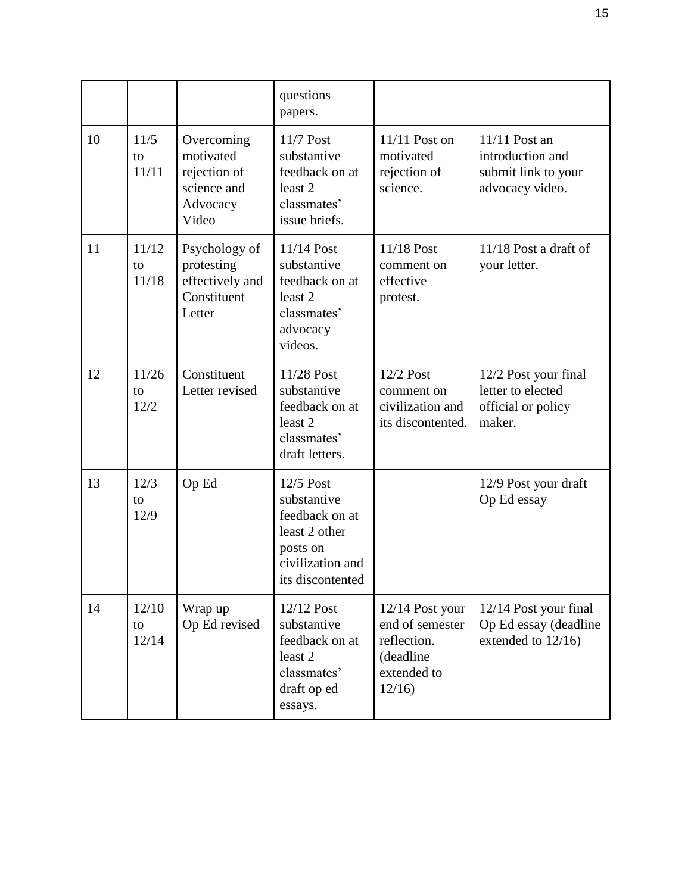|    |                      |                                                                             | questions<br>papers.                                                                                            |                                                                                         |                                                                             |
|----|----------------------|-----------------------------------------------------------------------------|-----------------------------------------------------------------------------------------------------------------|-----------------------------------------------------------------------------------------|-----------------------------------------------------------------------------|
| 10 | 11/5<br>to<br>11/11  | Overcoming<br>motivated<br>rejection of<br>science and<br>Advocacy<br>Video | 11/7 Post<br>substantive<br>feedback on at<br>least <sub>2</sub><br>classmates'<br>issue briefs.                | $11/11$ Post on<br>motivated<br>rejection of<br>science.                                | 11/11 Post an<br>introduction and<br>submit link to your<br>advocacy video. |
| 11 | 11/12<br>to<br>11/18 | Psychology of<br>protesting<br>effectively and<br>Constituent<br>Letter     | 11/14 Post<br>substantive<br>feedback on at<br>least 2<br>classmates'<br>advocacy<br>videos.                    | 11/18 Post<br>comment on<br>effective<br>protest.                                       | $11/18$ Post a draft of<br>your letter.                                     |
| 12 | 11/26<br>to<br>12/2  | Constituent<br>Letter revised                                               | 11/28 Post<br>substantive<br>feedback on at<br>least 2<br>classmates'<br>draft letters.                         | 12/2 Post<br>comment on<br>civilization and<br>its discontented.                        | 12/2 Post your final<br>letter to elected<br>official or policy<br>maker.   |
| 13 | 12/3<br>to<br>12/9   | Op Ed                                                                       | 12/5 Post<br>substantive<br>feedback on at<br>least 2 other<br>posts on<br>civilization and<br>its discontented |                                                                                         | 12/9 Post your draft<br>Op Ed essay                                         |
| 14 | 12/10<br>to<br>12/14 | Wrap up<br>Op Ed revised                                                    | 12/12 Post<br>substantive<br>feedback on at<br>least 2<br>classmates'<br>draft op ed<br>essays.                 | 12/14 Post your<br>end of semester<br>reflection.<br>(deadline)<br>extended to<br>12/16 | 12/14 Post your final<br>Op Ed essay (deadline<br>extended to 12/16)        |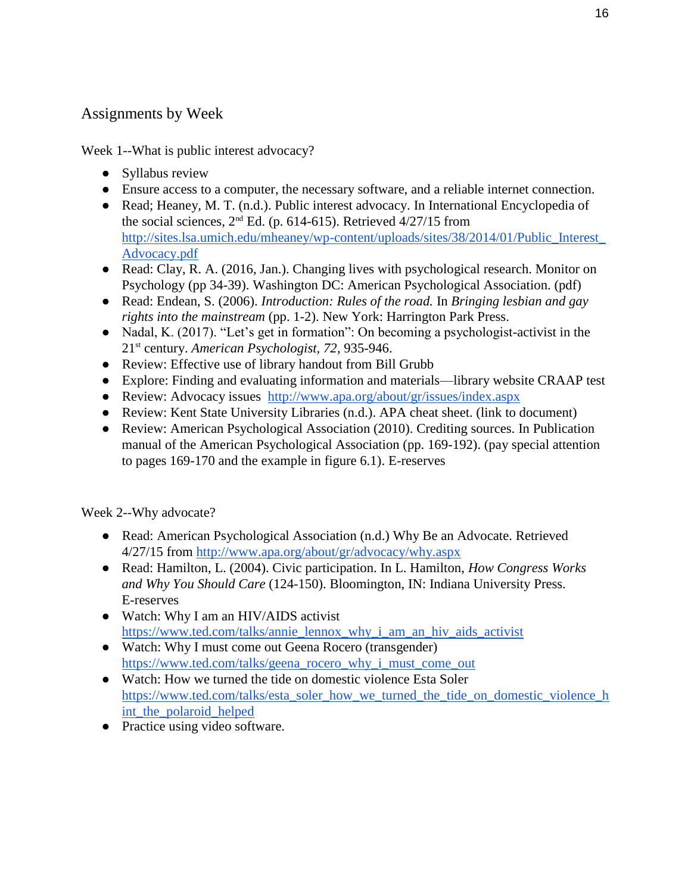# Assignments by Week

Week 1--What is public interest advocacy?

- Syllabus review
- Ensure access to a computer, the necessary software, and a reliable internet connection.
- Read; Heaney, M. T. (n.d.). Public interest advocacy. In International Encyclopedia of the social sciences,  $2<sup>nd</sup>$  Ed. (p. 614-615). Retrieved 4/27/15 from [http://sites.lsa.umich.edu/mheaney/wp-content/uploads/sites/38/2014/01/Public\\_Interest\\_](http://sites.lsa.umich.edu/mheaney/wp-content/uploads/sites/38/2014/01/Public_Interest_Advocacy.pdf) [Advocacy.pdf](http://sites.lsa.umich.edu/mheaney/wp-content/uploads/sites/38/2014/01/Public_Interest_Advocacy.pdf)
- Read: Clay, R. A. (2016, Jan.). Changing lives with psychological research. Monitor on Psychology (pp 34-39). Washington DC: American Psychological Association. (pdf)
- Read: Endean, S. (2006). *Introduction: Rules of the road.* In *Bringing lesbian and gay rights into the mainstream* (pp. 1-2). New York: Harrington Park Press.
- Nadal, K. (2017). "Let's get in formation": On becoming a psychologist-activist in the 21st century. *American Psychologist, 72*, 935-946.
- Review: Effective use of library handout from Bill Grubb
- Explore: Finding and evaluating information and materials—library website CRAAP test
- Review: Advocacy issues <http://www.apa.org/about/gr/issues/index.aspx>
- Review: Kent State University Libraries (n.d.). APA cheat sheet. (link to document)
- Review: American Psychological Association (2010). Crediting sources. In Publication manual of the American Psychological Association (pp. 169-192). (pay special attention to pages 169-170 and the example in figure 6.1). E-reserves

Week 2--Why advocate?

- Read: American Psychological Association (n.d.) Why Be an Advocate. Retrieved 4/27/15 from<http://www.apa.org/about/gr/advocacy/why.aspx>
- Read: Hamilton, L. (2004). Civic participation. In L. Hamilton, *How Congress Works and Why You Should Care* (124-150). Bloomington, IN: Indiana University Press. E-reserves
- Watch: Why I am an HIV/AIDS activist [https://www.ted.com/talks/annie\\_lennox\\_why\\_i\\_am\\_an\\_hiv\\_aids\\_activist](https://www.ted.com/talks/annie_lennox_why_i_am_an_hiv_aids_activist)
- Watch: Why I must come out Geena Rocero (transgender) [https://www.ted.com/talks/geena\\_rocero\\_why\\_i\\_must\\_come\\_out](https://www.ted.com/talks/geena_rocero_why_i_must_come_out)
- Watch: How we turned the tide on domestic violence Esta Soler [https://www.ted.com/talks/esta\\_soler\\_how\\_we\\_turned\\_the\\_tide\\_on\\_domestic\\_violence\\_h](https://www.ted.com/talks/esta_soler_how_we_turned_the_tide_on_domestic_violence_hint_the_polaroid_helped) int the polaroid helped
- Practice using video software.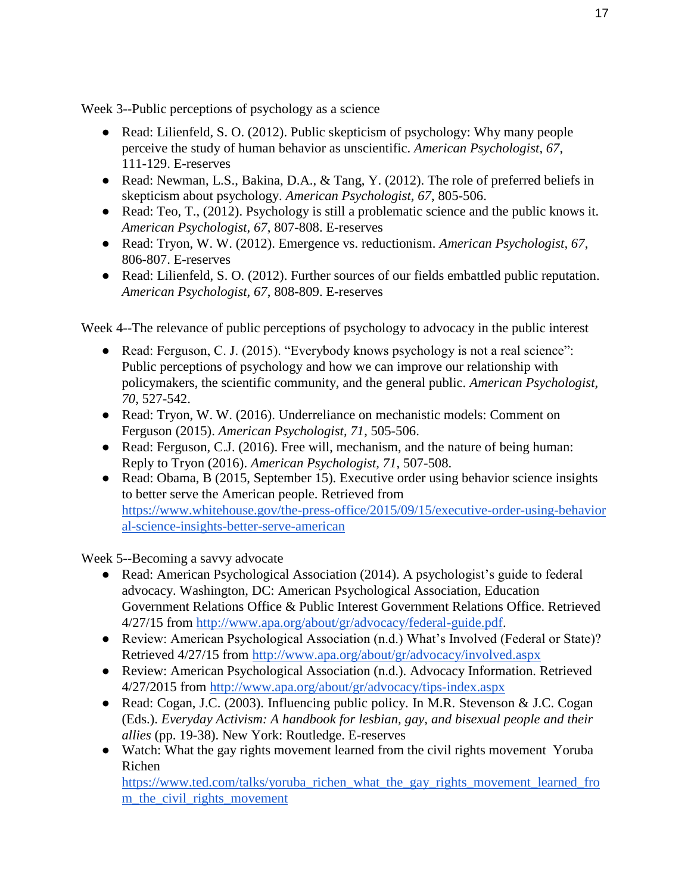Week 3--Public perceptions of psychology as a science

- Read: Lilienfeld, S. O. (2012). Public skepticism of psychology: Why many people perceive the study of human behavior as unscientific. *American Psychologist, 67*, 111-129. E-reserves
- Read: Newman, L.S., Bakina, D.A., & Tang, Y. (2012). The role of preferred beliefs in skepticism about psychology. *American Psychologist, 67*, 805-506.
- Read: Teo, T., (2012). Psychology is still a problematic science and the public knows it. *American Psychologist, 67*, 807-808. E-reserves
- Read: Tryon, W. W. (2012). Emergence vs. reductionism. *American Psychologist, 67*, 806-807. E-reserves
- Read: Lilienfeld, S. O. (2012). Further sources of our fields embattled public reputation. *American Psychologist, 67*, 808-809. E-reserves

Week 4--The relevance of public perceptions of psychology to advocacy in the public interest

- Read: Ferguson, C. J. (2015). "Everybody knows psychology is not a real science": Public perceptions of psychology and how we can improve our relationship with policymakers, the scientific community, and the general public. *American Psychologist, 70*, 527-542.
- Read: Tryon, W. W. (2016). Underreliance on mechanistic models: Comment on Ferguson (2015). *American Psychologist, 71*, 505-506.
- Read: Ferguson, C.J. (2016). Free will, mechanism, and the nature of being human: Reply to Tryon (2016). *American Psychologist, 71*, 507-508.
- Read: Obama, B (2015, September 15). Executive order using behavior science insights to better serve the American people. Retrieved from [https://www.whitehouse.gov/the-press-office/2015/09/15/executive-order-using-behavior](https://www.whitehouse.gov/the-press-office/2015/09/15/executive-order-using-behavioral-science-insights-better-serve-american) [al-science-insights-better-serve-american](https://www.whitehouse.gov/the-press-office/2015/09/15/executive-order-using-behavioral-science-insights-better-serve-american)

Week 5--Becoming a savvy advocate

- Read: American Psychological Association (2014). A psychologist's guide to federal advocacy. Washington, DC: American Psychological Association, Education Government Relations Office & Public Interest Government Relations Office. Retrieved 4/27/15 from [http://www.apa.org/about/gr/advocacy/federal-guide.pdf.](http://www.apa.org/about/gr/advocacy/federal-guide.pdf)
- Review: American Psychological Association (n.d.) What's Involved (Federal or State)? Retrieved 4/27/15 from<http://www.apa.org/about/gr/advocacy/involved.aspx>
- Review: American Psychological Association (n.d.). Advocacy Information. Retrieved 4/27/2015 from<http://www.apa.org/about/gr/advocacy/tips-index.aspx>
- Read: Cogan, J.C. (2003). Influencing public policy. In M.R. Stevenson & J.C. Cogan (Eds.). *Everyday Activism: A handbook for lesbian, gay, and bisexual people and their allies* (pp. 19-38). New York: Routledge. E-reserves
- Watch: What the gay rights movement learned from the civil rights movement Yoruba Richen

[https://www.ted.com/talks/yoruba\\_richen\\_what\\_the\\_gay\\_rights\\_movement\\_learned\\_fro](https://www.ted.com/talks/yoruba_richen_what_the_gay_rights_movement_learned_from_the_civil_rights_movement) [m\\_the\\_civil\\_rights\\_movement](https://www.ted.com/talks/yoruba_richen_what_the_gay_rights_movement_learned_from_the_civil_rights_movement)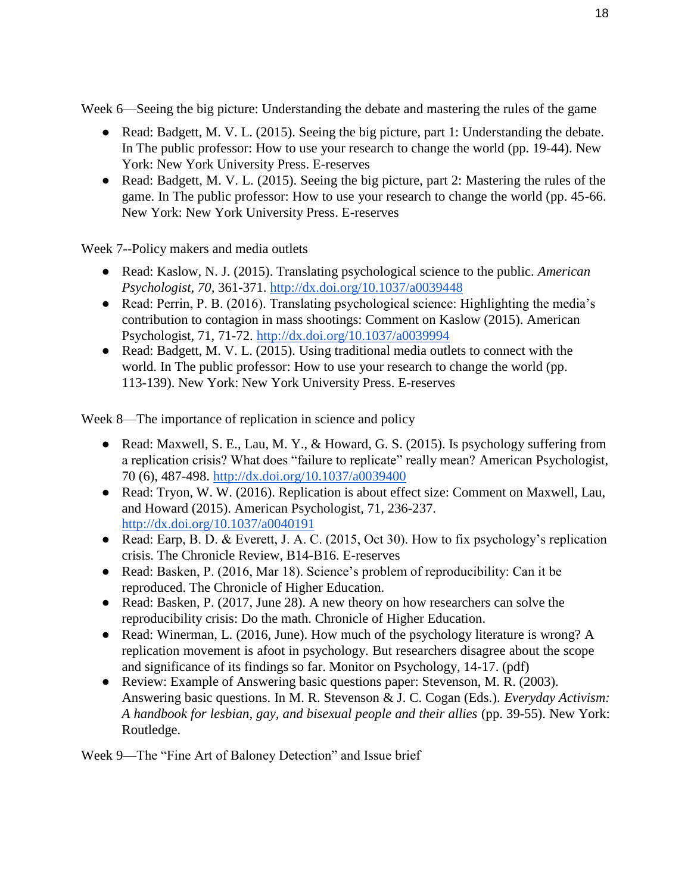Week 6—Seeing the big picture: Understanding the debate and mastering the rules of the game

- Read: Badgett, M. V. L. (2015). Seeing the big picture, part 1: Understanding the debate. In The public professor: How to use your research to change the world (pp. 19-44). New York: New York University Press. E-reserves
- Read: Badgett, M. V. L. (2015). Seeing the big picture, part 2: Mastering the rules of the game. In The public professor: How to use your research to change the world (pp. 45-66. New York: New York University Press. E-reserves

Week 7--Policy makers and media outlets

- Read: Kaslow, N. J. (2015). Translating psychological science to the public. *American Psychologist, 70,* 361-371.<http://dx.doi.org/10.1037/a0039448>
- Read: Perrin, P. B. (2016). Translating psychological science: Highlighting the media's contribution to contagion in mass shootings: Comment on Kaslow (2015). American Psychologist, 71, 71-72.<http://dx.doi.org/10.1037/a0039994>
- Read: Badgett, M. V. L. (2015). Using traditional media outlets to connect with the world. In The public professor: How to use your research to change the world (pp. 113-139). New York: New York University Press. E-reserves

Week 8—The importance of replication in science and policy

- Read: Maxwell, S. E., Lau, M. Y., & Howard, G. S. (2015). Is psychology suffering from a replication crisis? What does "failure to replicate" really mean? American Psychologist, 70 (6), 487-498.<http://dx.doi.org/10.1037/a0039400>
- Read: Tryon, W. W. (2016). Replication is about effect size: Comment on Maxwell, Lau, and Howard (2015). American Psychologist, 71, 236-237. <http://dx.doi.org/10.1037/a0040191>
- Read: Earp, B. D. & Everett, J. A. C. (2015, Oct 30). How to fix psychology's replication crisis. The Chronicle Review, B14-B16. E-reserves
- Read: Basken, P. (2016, Mar 18). Science's problem of reproducibility: Can it be reproduced. The Chronicle of Higher Education.
- Read: Basken, P. (2017, June 28). A new theory on how researchers can solve the reproducibility crisis: Do the math. Chronicle of Higher Education.
- Read: Winerman, L. (2016, June). How much of the psychology literature is wrong? A replication movement is afoot in psychology. But researchers disagree about the scope and significance of its findings so far. Monitor on Psychology, 14-17. (pdf)
- Review: Example of Answering basic questions paper: Stevenson, M. R. (2003). Answering basic questions. In M. R. Stevenson & J. C. Cogan (Eds.). *Everyday Activism: A handbook for lesbian, gay, and bisexual people and their allies* (pp. 39-55). New York: Routledge.

Week 9—The "Fine Art of Baloney Detection" and Issue brief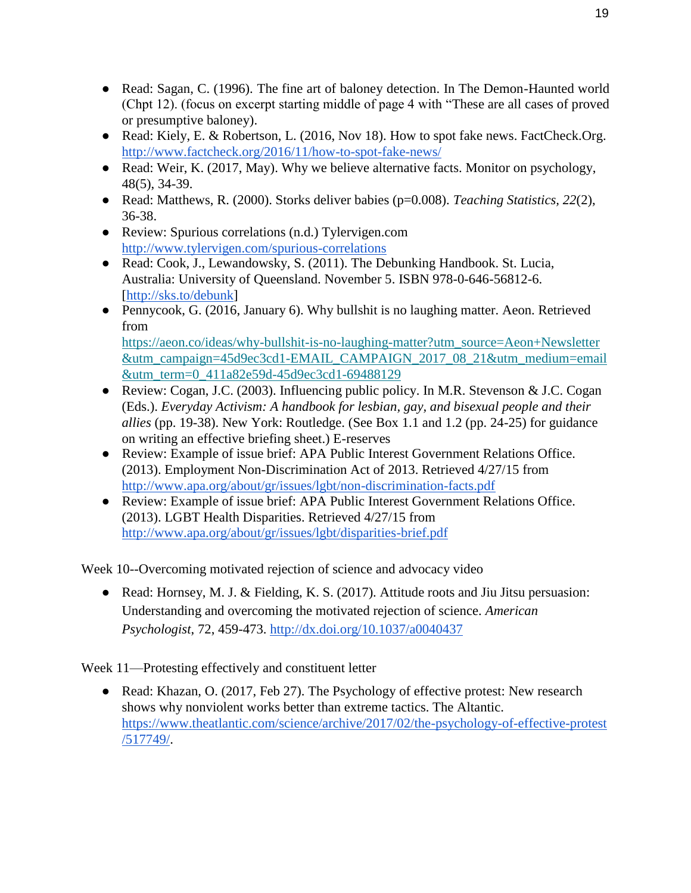- Read: Sagan, C. (1996). The fine art of baloney detection. In The Demon-Haunted world (Chpt 12). (focus on excerpt starting middle of page 4 with "These are all cases of proved or presumptive baloney).
- Read: Kiely, E. & Robertson, L. (2016, Nov 18). How to spot fake news. FactCheck.Org. <http://www.factcheck.org/2016/11/how-to-spot-fake-news/>
- Read: Weir, K. (2017, May). Why we believe alternative facts. Monitor on psychology, 48(5), 34-39.
- Read: Matthews, R. (2000). Storks deliver babies (p=0.008). *Teaching Statistics, 22*(2), 36-38.
- Review: Spurious correlations (n.d.) Tylervigen.com <http://www.tylervigen.com/spurious-correlations>
- Read: Cook, J., Lewandowsky, S. (2011). The Debunking Handbook. St. Lucia, Australia: University of Queensland. November 5. ISBN 978-0-646-56812-6. [\[http://sks.to/debunk\]](http://sks.to/debunk)
- Pennycook, G. (2016, January 6). Why bullshit is no laughing matter. Aeon. Retrieved from [https://aeon.co/ideas/why-bullshit-is-no-laughing-matter?utm\\_source=Aeon+Newsletter](https://aeon.co/ideas/why-bullshit-is-no-laughing-matter?utm_source=Aeon+Newsletter&utm_campaign=45d9ec3cd1-EMAIL_CAMPAIGN_2017_08_21&utm_medium=email&utm_term=0_411a82e59d-45d9ec3cd1-69488129) [&utm\\_campaign=45d9ec3cd1-EMAIL\\_CAMPAIGN\\_2017\\_08\\_21&utm\\_medium=email](https://aeon.co/ideas/why-bullshit-is-no-laughing-matter?utm_source=Aeon+Newsletter&utm_campaign=45d9ec3cd1-EMAIL_CAMPAIGN_2017_08_21&utm_medium=email&utm_term=0_411a82e59d-45d9ec3cd1-69488129)
- [&utm\\_term=0\\_411a82e59d-45d9ec3cd1-69488129](https://aeon.co/ideas/why-bullshit-is-no-laughing-matter?utm_source=Aeon+Newsletter&utm_campaign=45d9ec3cd1-EMAIL_CAMPAIGN_2017_08_21&utm_medium=email&utm_term=0_411a82e59d-45d9ec3cd1-69488129) ● Review: Cogan, J.C. (2003). Influencing public policy. In M.R. Stevenson & J.C. Cogan (Eds.). *Everyday Activism: A handbook for lesbian, gay, and bisexual people and their*
- *allies* (pp. 19-38). New York: Routledge. (See Box 1.1 and 1.2 (pp. 24-25) for guidance on writing an effective briefing sheet.) E-reserves
- Review: Example of issue brief: APA Public Interest Government Relations Office. (2013). Employment Non-Discrimination Act of 2013. Retrieved 4/27/15 from <http://www.apa.org/about/gr/issues/lgbt/non-discrimination-facts.pdf>
- Review: Example of issue brief: APA Public Interest Government Relations Office. (2013). LGBT Health Disparities. Retrieved 4/27/15 from <http://www.apa.org/about/gr/issues/lgbt/disparities-brief.pdf>

Week 10--Overcoming motivated rejection of science and advocacy video

● Read: Hornsey, M. J. & Fielding, K. S. (2017). Attitude roots and Jiu Jitsu persuasion: Understanding and overcoming the motivated rejection of science. *American Psychologist*, 72, 459-473.<http://dx.doi.org/10.1037/a0040437>

Week 11—Protesting effectively and constituent letter

• Read: Khazan, O. (2017, Feb 27). The Psychology of effective protest: New research shows why nonviolent works better than extreme tactics. The Altantic. [https://www.theatlantic.com/science/archive/2017/02/the-psychology-of-effective-protest](https://www.theatlantic.com/science/archive/2017/02/the-psychology-of-effective-protest/517749/) [/517749/.](https://www.theatlantic.com/science/archive/2017/02/the-psychology-of-effective-protest/517749/)